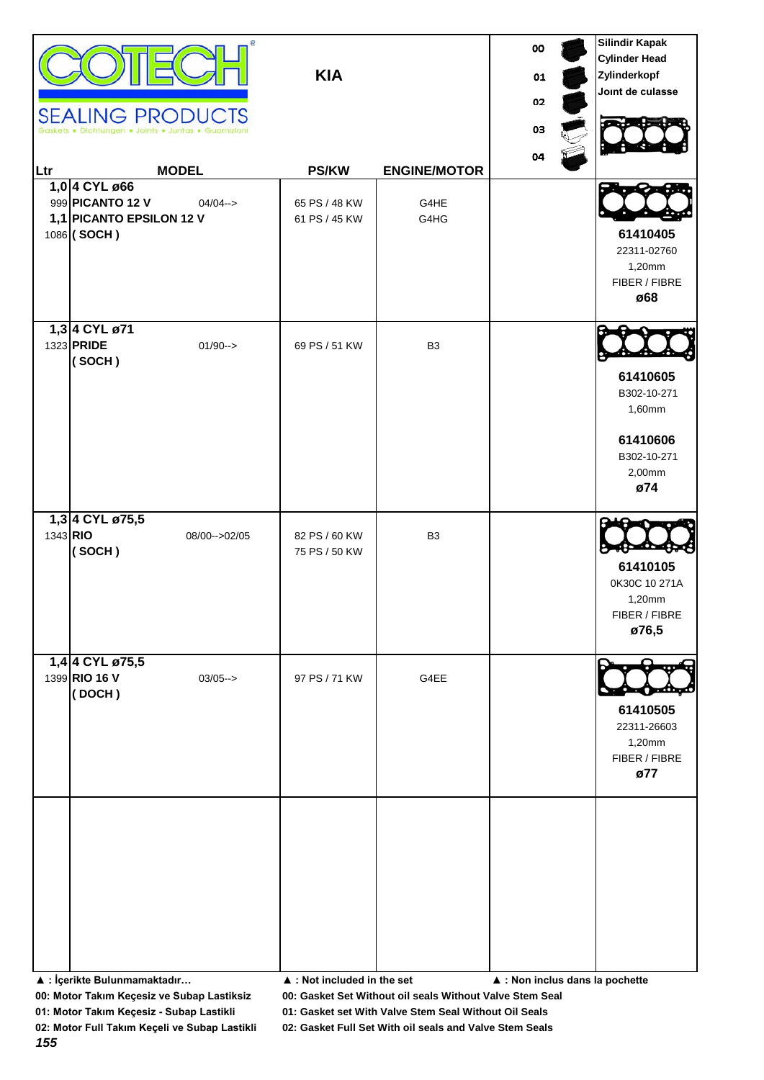| Ltr | <b>SEALING PRODUCTS</b><br><b>MODEL</b><br>1,0 4 CYL ø66                                    | <b>KIA</b><br><b>PS/KW</b>     | <b>ENGINE/MOTOR</b> | 00<br>01<br>02<br>03<br>04      | <b>Silindir Kapak</b><br><b>Cylinder Head</b><br>Zylinderkopf<br>Joint de culasse |
|-----|---------------------------------------------------------------------------------------------|--------------------------------|---------------------|---------------------------------|-----------------------------------------------------------------------------------|
|     | 999 PICANTO 12 V<br>$04/04 - >$<br>1,1 PICANTO EPSILON 12 V<br>1086 (SOCH)<br>1,3 4 CYL ø71 | 65 PS / 48 KW<br>61 PS / 45 KW | G4HE<br>G4HG        |                                 | 61410405<br>22311-02760<br>1,20mm<br>FIBER / FIBRE<br>ø68                         |
|     | 1323 PRIDE<br>$01/90--$<br>(SOCH)                                                           | 69 PS / 51 KW                  | B <sub>3</sub>      |                                 | 61410605<br>B302-10-271<br>1,60mm<br>61410606<br>B302-10-271<br>2,00mm<br>ø74     |
|     | 1,3 4 CYL ø75,5<br>1343 RIO<br>08/00 -- > 02/05<br>(SOCH)                                   | 82 PS / 60 KW<br>75 PS / 50 KW | B <sub>3</sub>      |                                 | 61410105<br>0K30C 10 271A<br>1,20mm<br>FIBER / FIBRE<br>ø76,5                     |
|     | 1,4 4 CYL ø75,5<br>1399 RIO 16 V<br>$03/05--$<br>(DOCH)                                     | 97 PS / 71 KW                  | G4EE                |                                 | 61410505<br>22311-26603<br>1,20mm<br>FIBER / FIBRE<br>ø77                         |
|     | ▲ : İçerikte Bulunmamaktadır                                                                | ▲ : Not included in the set    |                     | ▲ : Non inclus dans la pochette |                                                                                   |

**01: Motor Takım Keçesiz - Subap Lastikli 01: Gasket set With Valve Stem Seal Without Oil Seals**

*155*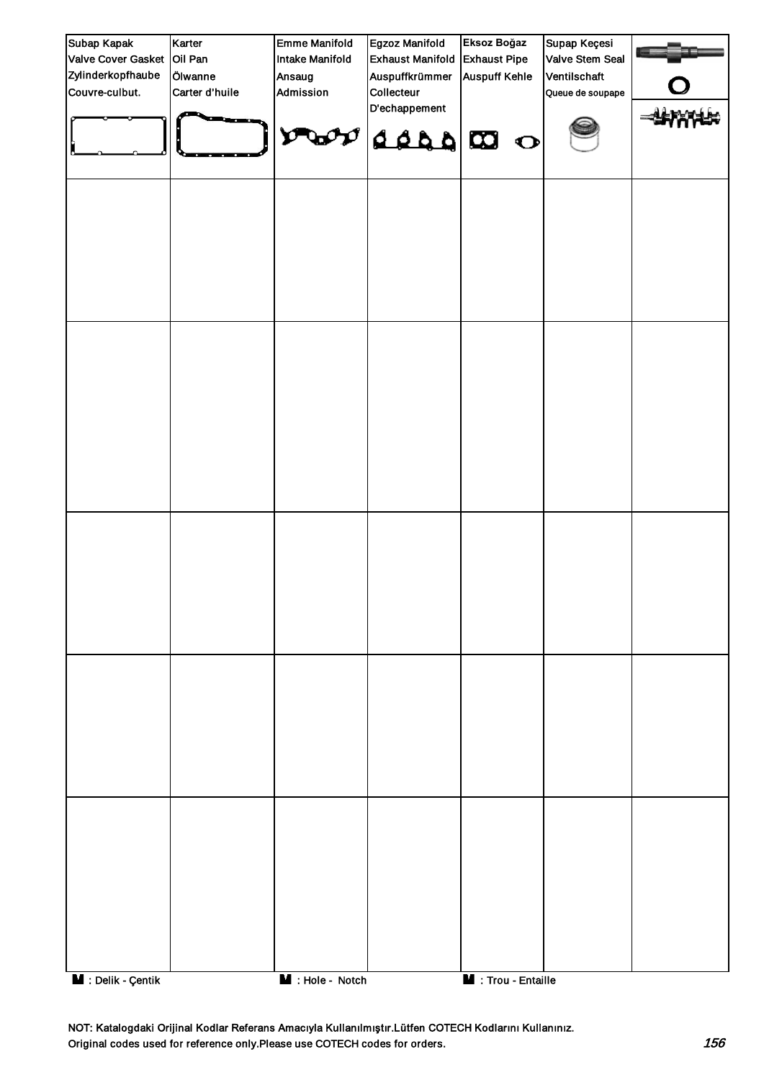| Subap Kapak                     | Karter         | <b>Emme Manifold</b>          | Egzoz Manifold               | Eksoz Boğaz                | Supap Keçesi     |  |
|---------------------------------|----------------|-------------------------------|------------------------------|----------------------------|------------------|--|
| Valve Cover Gasket Oil Pan      |                | <b>Intake Manifold</b>        | <b>Exhaust Manifold</b>      | <b>Exhaust Pipe</b>        | Valve Stem Seal  |  |
| Zylinderkopfhaube               | Ölwanne        | Ansaug                        | Auspuffkrümmer               | <b>Auspuff Kehle</b>       | Ventilschaft     |  |
| Couvre-culbut.                  | Carter d'huile | Admission                     | Collecteur                   |                            | Queue de soupape |  |
|                                 |                | $\mathbf{v}$                  | D'echappement<br>$\log_{10}$ |                            |                  |  |
|                                 |                |                               |                              |                            |                  |  |
|                                 |                |                               |                              |                            |                  |  |
|                                 |                |                               |                              |                            |                  |  |
|                                 |                |                               |                              |                            |                  |  |
|                                 |                |                               |                              |                            |                  |  |
| $\blacksquare$ : Delik - Çentik |                | $\blacksquare$ : Hole - Notch |                              | <b>M</b> : Trou - Entaille |                  |  |

NOT: Katalogdaki Orijinal Kodlar Referans Amacıyla Kullanılmıştır.Lütfen COTECH Kodlarını Kullanınız. Original codes used for reference only.Please use COTECH codes for orders. 156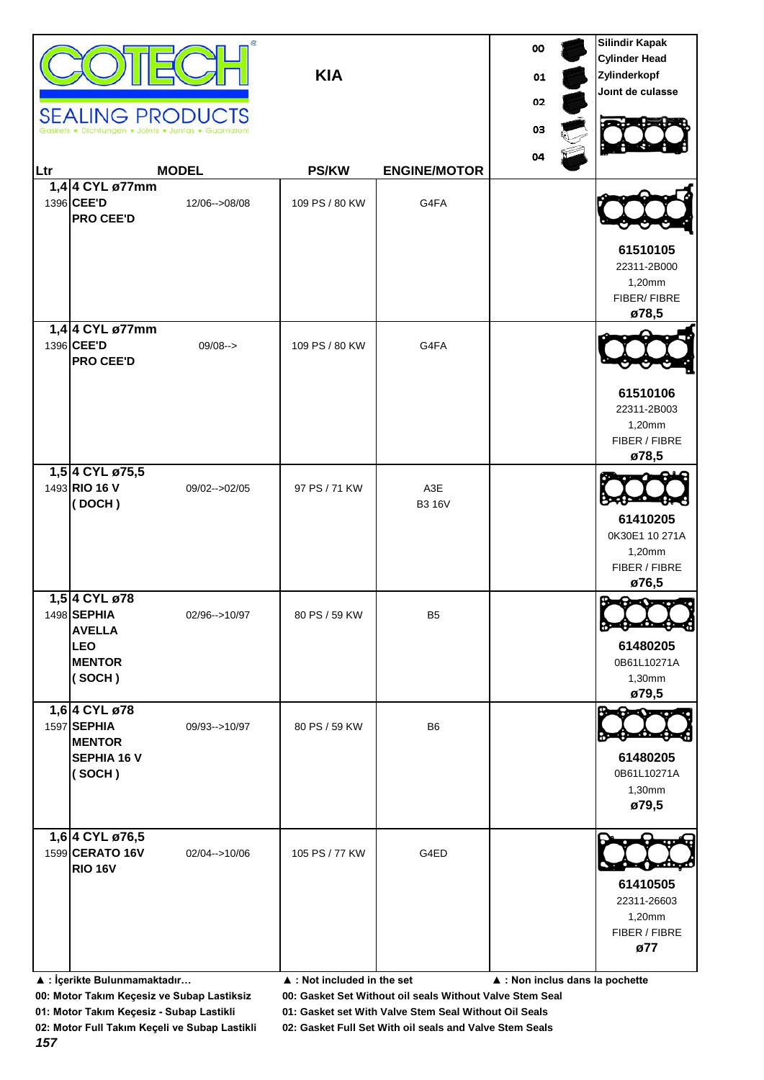|     | <b>SEALING PRODUCTS</b>                                                                |                  | <b>KIA</b>     |                      | 00<br>01<br>02<br>03 | <b>Silindir Kapak</b><br><b>Cylinder Head</b><br>Zylinderkopf<br>Joint de culasse |
|-----|----------------------------------------------------------------------------------------|------------------|----------------|----------------------|----------------------|-----------------------------------------------------------------------------------|
| Ltr |                                                                                        | <b>MODEL</b>     | <b>PS/KW</b>   | <b>ENGINE/MOTOR</b>  | 04                   |                                                                                   |
|     | 1,4 4 CYL ø77mm<br>1396 CEE'D<br><b>PRO CEE'D</b>                                      | 12/06-->08/08    | 109 PS / 80 KW | G4FA                 |                      |                                                                                   |
|     |                                                                                        |                  |                |                      |                      | 61510105<br>22311-2B000<br>1,20mm<br>FIBER/FIBRE<br>ø78,5                         |
|     | 1,4 4 CYL ø77mm<br>1396 CEE'D<br><b>PRO CEE'D</b>                                      | $09/08--$        | 109 PS / 80 KW | G4FA                 |                      | 61510106                                                                          |
|     | 1,5 4 CYL ø75,5                                                                        |                  |                |                      |                      | 22311-2B003<br>1,20mm<br>FIBER / FIBRE<br>ø78,5                                   |
|     | 1493 RIO 16 V<br>(DOCH)                                                                | 09/02 -- > 02/05 | 97 PS / 71 KW  | A3E<br><b>B3 16V</b> |                      | 61410205<br>0K30E1 10 271A<br>1,20mm<br>FIBER / FIBRE<br>ø76,5                    |
|     | 1,5 4 CYL ø78<br>1498 SEPHIA<br><b>AVELLA</b><br><b>LEO</b><br><b>MENTOR</b><br>(SOCH) | 02/96-->10/97    | 80 PS / 59 KW  | B <sub>5</sub>       |                      | <b>Broadway</b><br>8≍9<br>61480205<br>0B61L10271A<br>1,30mm<br>ø79,5              |
|     | 1,6 4 CYL ø78<br>1597 SEPHIA<br><b>MENTOR</b><br><b>SEPHIA 16 V</b><br>(SOCH)          | 09/93-->10/97    | 80 PS / 59 KW  | B <sub>6</sub>       |                      | ∾<br>61480205<br>0B61L10271A<br>1,30mm<br>ø79,5                                   |
|     | 1,6 4 CYL ø76,5<br>1599 CERATO 16V<br><b>RIO 16V</b>                                   | 02/04-->10/06    | 105 PS / 77 KW | G4ED                 |                      | 61410505<br>22311-26603<br>1,20mm<br>FIBER / FIBRE<br>ø77                         |

**▲ : İçerikte Bulunmamaktadır… ▲ : Not included in the set ▲ : Non inclus dans la pochette**

**00: Motor Takım Keçesiz ve Subap Lastiksiz 00: Gasket Set Without oil seals Without Valve Stem Seal**

**01: Motor Takım Keçesiz - Subap Lastikli 01: Gasket set With Valve Stem Seal Without Oil Seals**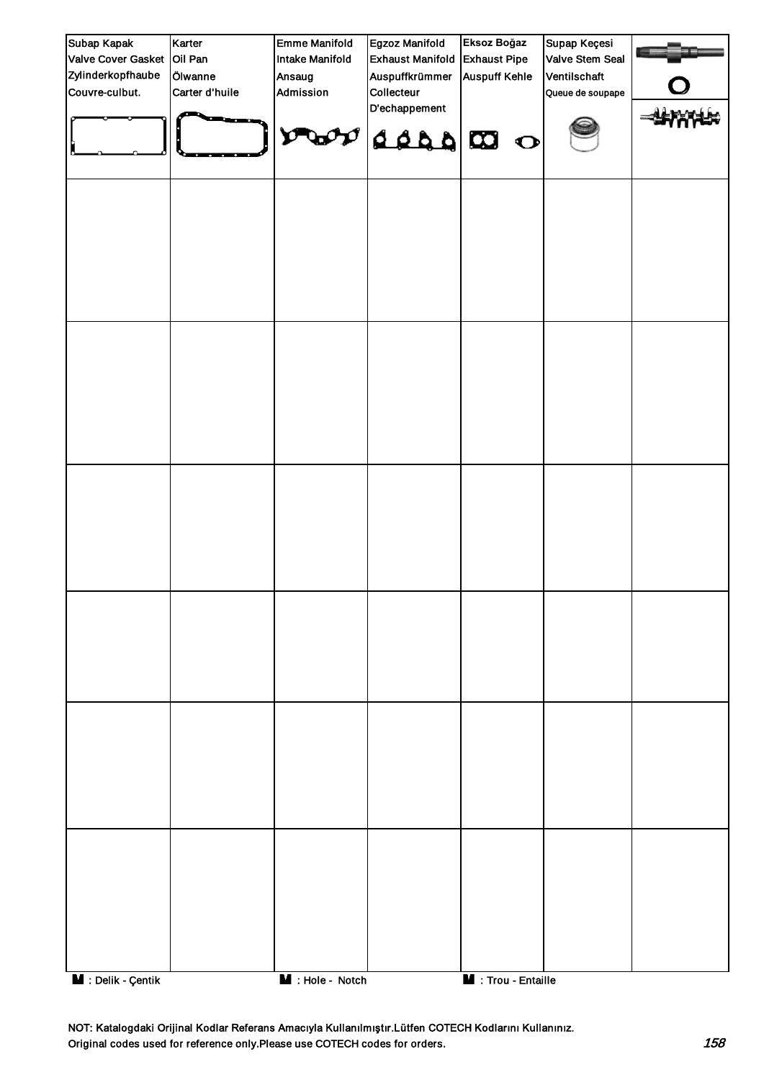| Subap Kapak                     | Karter         | <b>Emme Manifold</b>          | Egzoz Manifold               | Eksoz Boğaz                | Supap Keçesi     |  |
|---------------------------------|----------------|-------------------------------|------------------------------|----------------------------|------------------|--|
| Valve Cover Gasket Oil Pan      |                | Intake Manifold               | <b>Exhaust Manifold</b>      | <b>Exhaust Pipe</b>        | Valve Stem Seal  |  |
| Zylinderkopfhaube               | Ölwanne        | Ansaug                        | Auspuffkrümmer               | <b>Auspuff Kehle</b>       | Ventilschaft     |  |
| Couvre-culbut.                  | Carter d'huile | Admission                     | Collecteur                   |                            | Queue de soupape |  |
|                                 |                | O                             | D'echappement<br>$\log_{10}$ |                            |                  |  |
|                                 |                |                               |                              |                            |                  |  |
|                                 |                |                               |                              |                            |                  |  |
|                                 |                |                               |                              |                            |                  |  |
|                                 |                |                               |                              |                            |                  |  |
|                                 |                |                               |                              |                            |                  |  |
|                                 |                |                               |                              |                            |                  |  |
| $\blacksquare$ : Delik - Çentik |                | $\blacksquare$ : Hole - Notch |                              | <b>M</b> : Trou - Entaille |                  |  |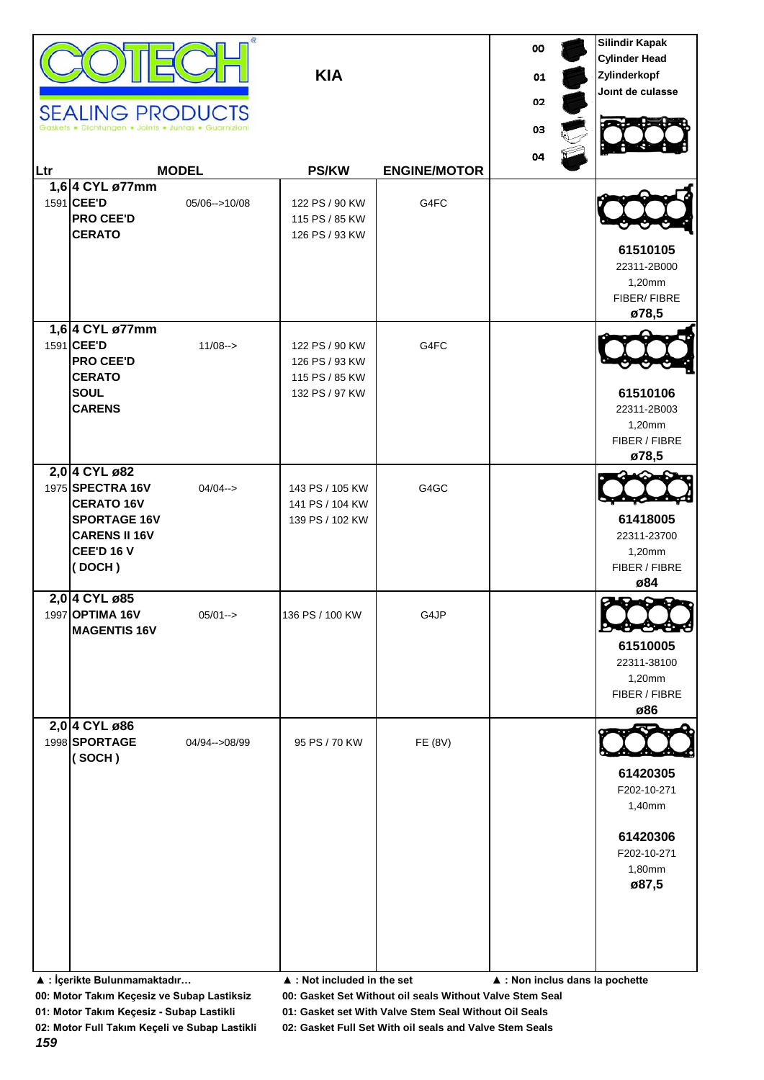|     | <b>SEALING PRODUCTS</b>                                                                                                              |               | <b>KIA</b>                                                           |                     | oo<br>01<br>02 | <b>Silindir Kapak</b><br><b>Cylinder Head</b><br>Zylinderkopf<br>Joint de culasse |
|-----|--------------------------------------------------------------------------------------------------------------------------------------|---------------|----------------------------------------------------------------------|---------------------|----------------|-----------------------------------------------------------------------------------|
| Ltr |                                                                                                                                      | <b>MODEL</b>  | <b>PS/KW</b>                                                         | <b>ENGINE/MOTOR</b> | 03<br>04       |                                                                                   |
|     | 1,6 4 CYL ø77mm<br>1591 CEE'D<br><b>PRO CEE'D</b><br><b>CERATO</b>                                                                   | 05/06-->10/08 | 122 PS / 90 KW<br>115 PS / 85 KW<br>126 PS / 93 KW                   | G4FC                |                | 61510105<br>22311-2B000<br>1,20mm<br>FIBER/FIBRE<br>ø78,5                         |
|     | 1,6 4 CYL ø77mm<br>1591 CEE'D<br><b>PRO CEE'D</b><br><b>CERATO</b><br><b>SOUL</b><br><b>CARENS</b>                                   | $11/08 ->$    | 122 PS / 90 KW<br>126 PS / 93 KW<br>115 PS / 85 KW<br>132 PS / 97 KW | G4FC                |                | 61510106<br>22311-2B003<br>1,20mm<br>FIBER / FIBRE<br>ø78,5                       |
|     | 2,0 4 CYL ø82<br>1975 SPECTRA 16V<br><b>CERATO 16V</b><br><b>SPORTAGE 16V</b><br><b>CARENS II 16V</b><br><b>CEE'D 16 V</b><br>(DOCH) | $04/04 - >$   | 143 PS / 105 KW<br>141 PS / 104 KW<br>139 PS / 102 KW                | G4GC                |                | 61418005<br>22311-23700<br>1,20mm<br>FIBER / FIBRE<br>ø84                         |
|     | 2,0 4 CYL ø85<br>1997 OPTIMA 16V<br><b>MAGENTIS 16V</b>                                                                              | $05/01--$     | 136 PS / 100 KW                                                      | G4JP                |                | ø<br>61510005<br>22311-38100<br>1,20mm<br>FIBER / FIBRE<br>ø86                    |
|     | 2,0 4 CYL ø86<br>1998 SPORTAGE<br>(SOCH)                                                                                             | 04/94-->08/99 | 95 PS / 70 KW                                                        | FE (8V)             |                | 61420305<br>F202-10-271<br>1,40mm<br>61420306<br>F202-10-271<br>1,80mm<br>ø87,5   |

**▲ : İçerikte Bulunmamaktadır… ▲ : Not included in the set ▲ : Non inclus dans la pochette**

**00: Motor Takım Keçesiz ve Subap Lastiksiz 00: Gasket Set Without oil seals Without Valve Stem Seal**

**01: Motor Takım Keçesiz - Subap Lastikli 01: Gasket set With Valve Stem Seal Without Oil Seals**

**02: Motor Full Takım Keçeli ve Subap Lastikli 02: Gasket Full Set With oil seals and Valve Stem Seals**

*159*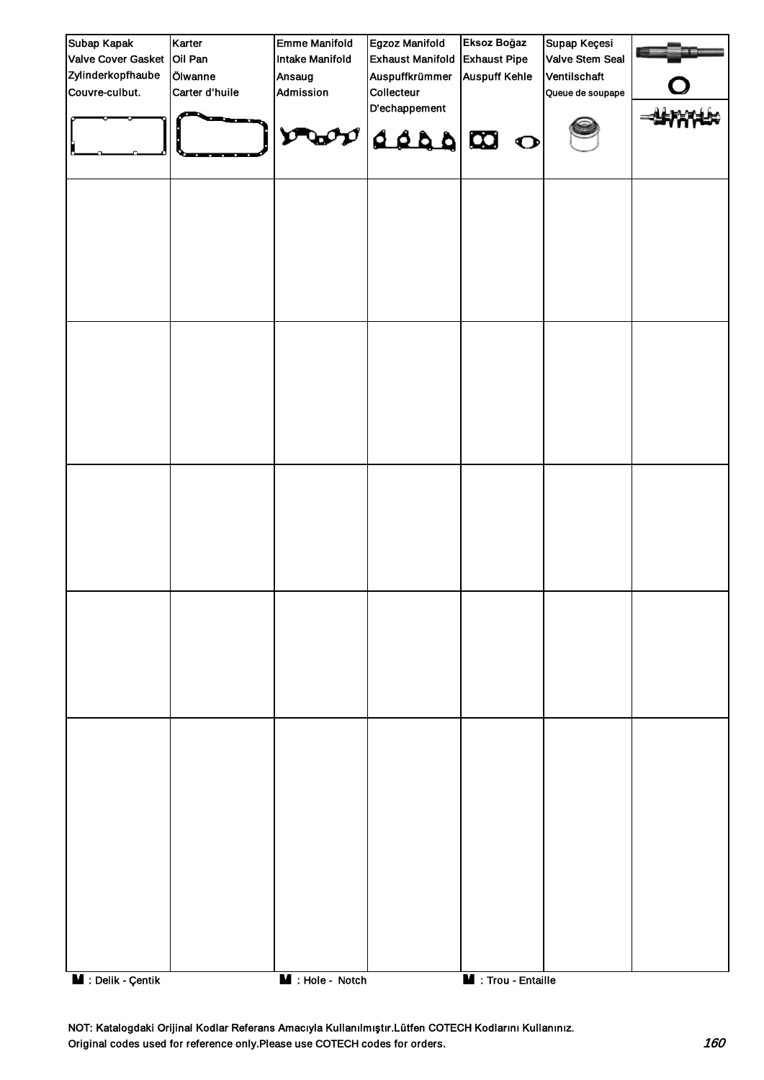| Subap Kapak        | Karter         | <b>Emme Manifold</b>          | Egzoz Manifold               | Eksoz Boğaz                | Supap Keçesi     |  |
|--------------------|----------------|-------------------------------|------------------------------|----------------------------|------------------|--|
| Valve Cover Gasket | Oil Pan        | Intake Manifold               | <b>Exhaust Manifold</b>      | <b>Exhaust Pipe</b>        | Valve Stem Seal  |  |
| Zylinderkopfhaube  | Ölwanne        | Ansaug                        | Auspuffkrümmer               | <b>Auspuff Kehle</b>       | Ventilschaft     |  |
| Couvre-culbut.     | Carter d'huile | Admission                     | Collecteur                   |                            | Queue de soupape |  |
|                    |                |                               | D'echappement<br>$\log_{10}$ |                            |                  |  |
|                    |                |                               |                              |                            |                  |  |
|                    |                |                               |                              |                            |                  |  |
|                    |                |                               |                              |                            |                  |  |
|                    |                |                               |                              |                            |                  |  |
|                    |                |                               |                              |                            |                  |  |
|                    |                |                               |                              |                            |                  |  |
| M : Delik - Çentik |                | $\blacksquare$ : Hole - Notch |                              | <b>M</b> : Trou - Entaille |                  |  |

NOT: Katalogdaki Orijinal Kodlar Referans Amacıyla Kullanılmıştır.Lütfen COTECH Kodlarını Kullanınız. Original codes used for reference only.Please use COTECH codes for orders. 160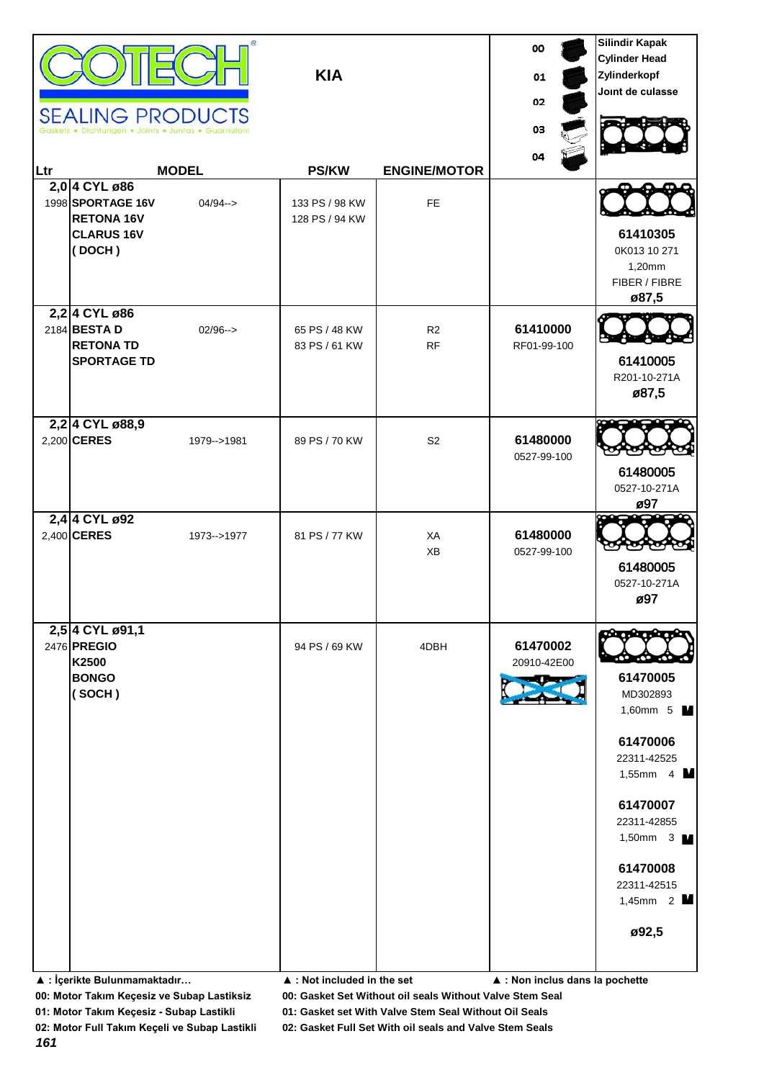| lLtr | <b>SEALING PRODUCTS</b><br>· Dichtungen · Joints · Juntas · Guarnizio<br>2,0 4 CYL ø86<br>1998 SPORTAGE 16V<br><b>RETONA 16V</b><br><b>CLARUS 16V</b><br>(DOCH) | <b>MODEL</b><br>$04/94 - >$ | <b>KIA</b><br><b>PS/KW</b><br>133 PS / 98 KW<br>128 PS / 94 KW | <b>ENGINE/MOTOR</b><br>FE.  | oo<br>01<br>02<br>03<br>04                                 | <b>Silindir Kapak</b><br><b>Cylinder Head</b><br>Zylinderkopf<br>Joint de culasse<br>61410305<br>0K013 10 271<br>1,20mm<br>FIBER / FIBRE<br>ø87,5                                                      |
|------|-----------------------------------------------------------------------------------------------------------------------------------------------------------------|-----------------------------|----------------------------------------------------------------|-----------------------------|------------------------------------------------------------|--------------------------------------------------------------------------------------------------------------------------------------------------------------------------------------------------------|
|      | 2,2 4 CYL ø86<br>2184 BESTA D<br><b>RETONA TD</b><br><b>SPORTAGE TD</b>                                                                                         | $02/96 - >$                 | 65 PS / 48 KW<br>83 PS / 61 KW                                 | R <sub>2</sub><br><b>RF</b> | 61410000<br>RF01-99-100                                    | 61410005<br>R201-10-271A<br>ø87,5                                                                                                                                                                      |
|      | 2,2 4 CYL ø88,9<br>2,200 CERES                                                                                                                                  | 1979-->1981                 | 89 PS / 70 KW                                                  | S <sub>2</sub>              | 61480000<br>0527-99-100                                    | 61480005<br>0527-10-271A<br>ø97                                                                                                                                                                        |
|      | 2,4 4 CYL ø92<br>2,400 CERES                                                                                                                                    | 1973-->1977                 | 81 PS / 77 KW                                                  | XA<br>XB                    | 61480000<br>0527-99-100                                    | 61480005<br>0527-10-271A<br>ø97                                                                                                                                                                        |
|      | 2,5 4 CYL ø91,1<br>2476 PREGIO<br>K2500<br><b>BONGO</b><br>(SOCH)<br>▲ : İçerikte Bulunmamaktadır                                                               |                             | 94 PS / 69 KW<br>$\blacktriangle$ : Not included in the set    | 4DBH                        | 61470002<br>20910-42E00<br>▲ : Non inclus dans la pochette | 61470005<br>MD302893<br>1,60mm 5 <b>M</b><br>61470006<br>22311-42525<br>1,55mm $4 \blacksquare$<br>61470007<br>22311-42855<br>1,50mm $3 \text{ M}$<br>61470008<br>22311-42515<br>1,45mm $2$ M<br>ø92,5 |

**01: Motor Takım Keçesiz - Subap Lastikli 01: Gasket set With Valve Stem Seal Without Oil Seals**

*161*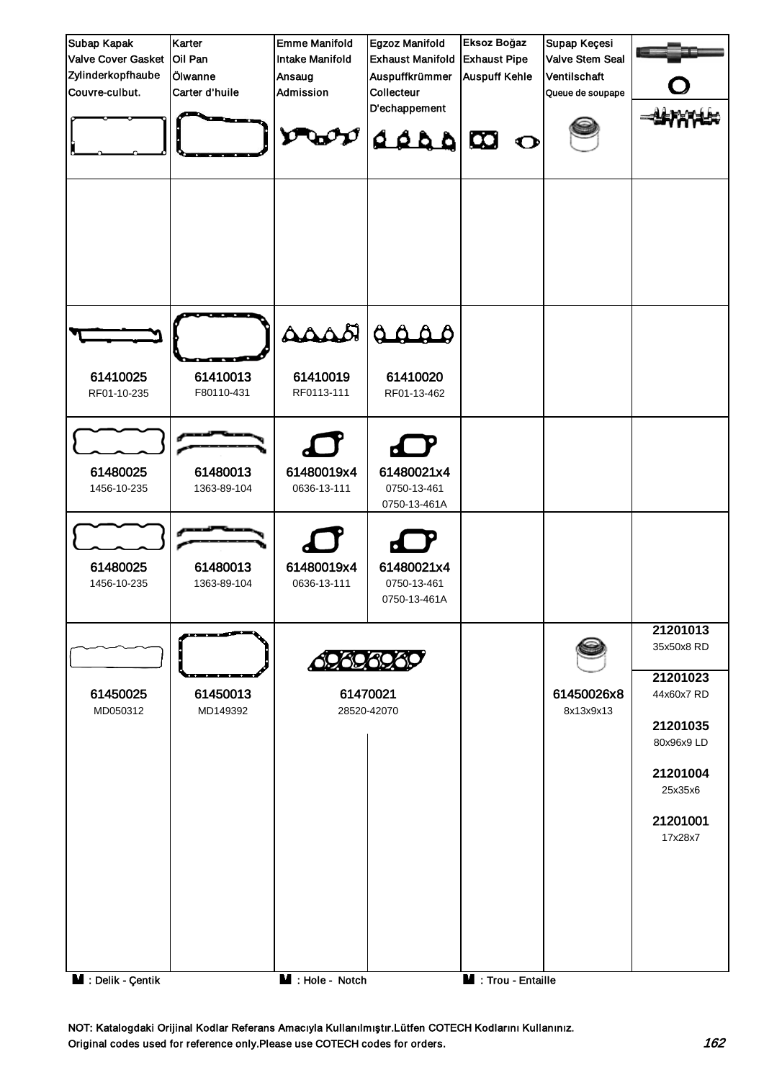

NOT: Katalogdaki Orijinal Kodlar Referans Amacıyla Kullanılmıştır.Lütfen COTECH Kodlarını Kullanınız. Original codes used for reference only.Please use COTECH codes for orders. 162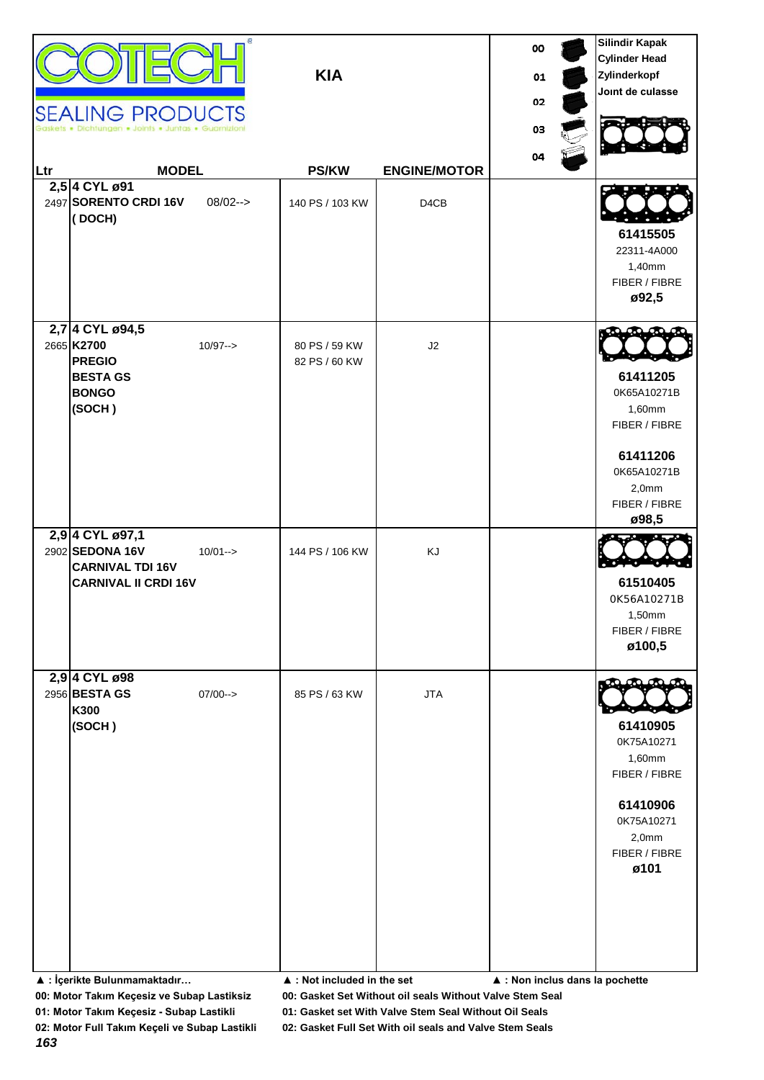| Ltr | <b>SEALING PRODUCTS</b><br>en • Joints • Juntas • Guar<br><b>MODEL</b><br>2,5 4 CYL ø91<br>2497 SORENTO CRDI 16V<br>(DOCH) | $08/02--$   | <b>KIA</b><br><b>PS/KW</b><br>140 PS / 103 KW               | <b>ENGINE/MOTOR</b><br>D4CB | 00<br>01<br>02<br>03<br>04      | <b>Silindir Kapak</b><br><b>Cylinder Head</b><br>Zylinderkopf<br>Joint de culasse<br>61415505<br>22311-4A000<br>1,40mm<br>FIBER / FIBRE |
|-----|----------------------------------------------------------------------------------------------------------------------------|-------------|-------------------------------------------------------------|-----------------------------|---------------------------------|-----------------------------------------------------------------------------------------------------------------------------------------|
|     | 2,7 4 CYL ø94,5<br>2665 K2700<br><b>PREGIO</b><br><b>BESTA GS</b><br><b>BONGO</b><br>(SOCH)                                | $10/97 - >$ | 80 PS / 59 KW<br>82 PS / 60 KW                              | J2                          |                                 | ø92,5<br>61411205<br>0K65A10271B<br>1,60mm<br>FIBER / FIBRE<br>61411206<br>0K65A10271B<br>2,0mm<br>FIBER / FIBRE                        |
|     | 2,9 4 CYL ø97,1<br>2902 SEDONA 16V<br><b>CARNIVAL TDI 16V</b><br><b>CARNIVAL II CRDI 16V</b>                               | $10/01 - >$ | 144 PS / 106 KW                                             | KJ                          |                                 | ø98,5<br>61510405<br>0K56A10271B<br>1,50mm<br>FIBER / FIBRE<br>ø100,5                                                                   |
|     | 2,9 4 CYL ø98<br>2956 BESTA GS<br>K300<br>(SOCH)<br>▲ : İçerikte Bulunmamaktadır                                           | $07/00--$   | 85 PS / 63 KW<br>$\blacktriangle$ : Not included in the set | <b>JTA</b>                  | ▲ : Non inclus dans la pochette | 61410905<br>0K75A10271<br>1,60mm<br>FIBER / FIBRE<br>61410906<br>0K75A10271<br>2,0mm<br>FIBER / FIBRE<br>ø101                           |

**01: Motor Takım Keçesiz - Subap Lastikli 01: Gasket set With Valve Stem Seal Without Oil Seals**

*163*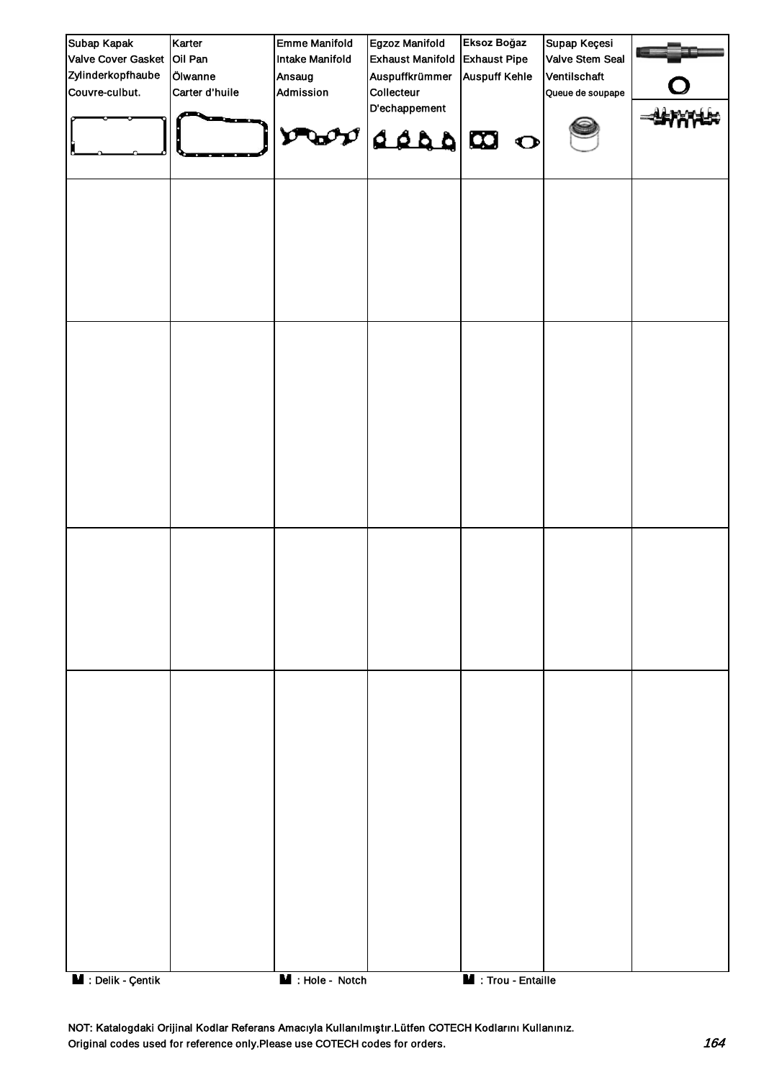| Subap Kapak        | Karter         | <b>Emme Manifold</b>          | Egzoz Manifold              | Eksoz Boğaz          | Supap Keçesi     |  |
|--------------------|----------------|-------------------------------|-----------------------------|----------------------|------------------|--|
| Valve Cover Gasket | Oil Pan        | Intake Manifold               | <b>Exhaust Manifold</b>     | <b>Exhaust Pipe</b>  | Valve Stem Seal  |  |
| Zylinderkopfhaube  | Ölwanne        | Ansaug                        | Auspuffkrümmer              | <b>Auspuff Kehle</b> | Ventilschaft     |  |
| Couvre-culbut.     | Carter d'huile | Admission                     | Collecteur<br>D'echappement |                      | Queue de soupape |  |
|                    |                | О                             | a a a a a                   |                      |                  |  |
|                    |                |                               |                             |                      |                  |  |
|                    |                |                               |                             |                      |                  |  |
|                    |                |                               |                             |                      |                  |  |
|                    |                |                               |                             |                      |                  |  |
|                    |                |                               |                             |                      |                  |  |
|                    |                |                               |                             |                      |                  |  |
|                    |                |                               |                             |                      |                  |  |
|                    |                |                               |                             |                      |                  |  |
|                    |                |                               |                             |                      |                  |  |
|                    |                |                               |                             |                      |                  |  |
|                    |                |                               |                             |                      |                  |  |
|                    |                |                               |                             |                      |                  |  |
|                    |                |                               |                             |                      |                  |  |
|                    |                |                               |                             |                      |                  |  |
|                    |                |                               |                             |                      |                  |  |
|                    |                |                               |                             |                      |                  |  |
|                    |                |                               |                             |                      |                  |  |
|                    |                |                               |                             |                      |                  |  |
| M : Delik - Çentik |                | $\blacksquare$ : Hole - Notch |                             | M : Trou - Entaille  |                  |  |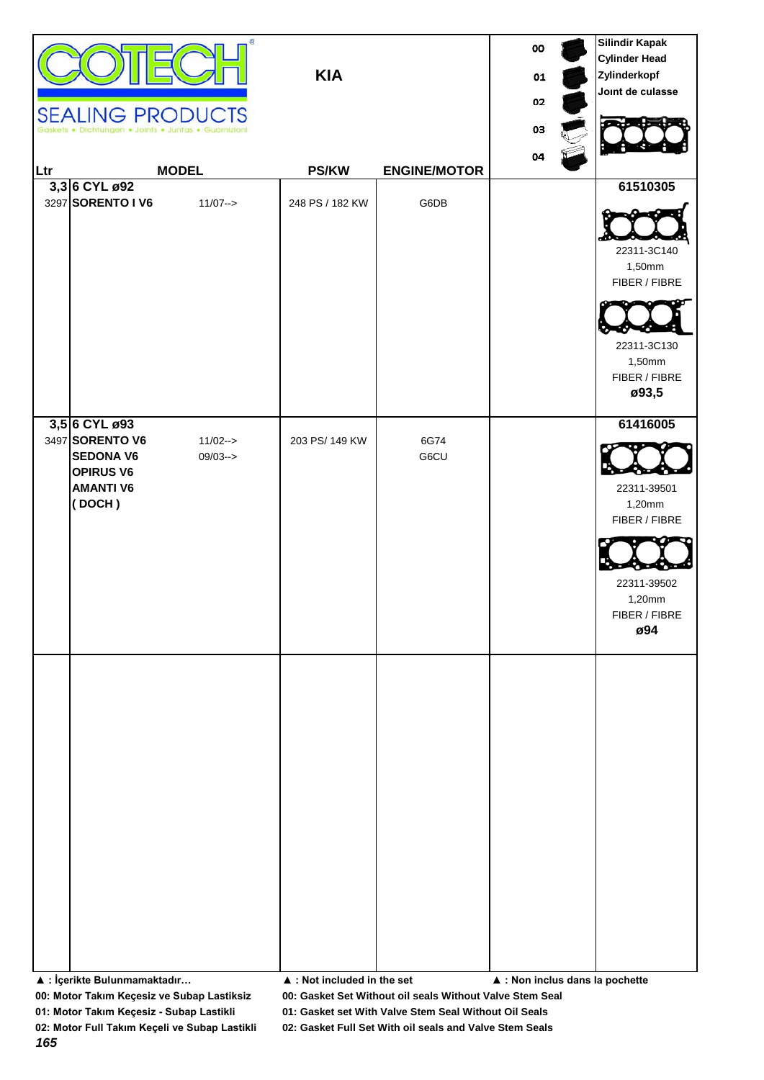|     | <b>SEALING PRODUCTS</b>                              | œ                           | <b>KIA</b>                                 |                             | oo<br>01<br>02<br>03<br>04      | <b>Silindir Kapak</b><br><b>Cylinder Head</b><br>Zylinderkopf<br>Joint de culasse         |
|-----|------------------------------------------------------|-----------------------------|--------------------------------------------|-----------------------------|---------------------------------|-------------------------------------------------------------------------------------------|
| Ltr | 3,3 6 CYL ø92<br>3297 SORENTO I V6                   | <b>MODEL</b><br>$11/07 - >$ | <b>PS/KW</b><br>248 PS / 182 KW            | <b>ENGINE/MOTOR</b><br>G6DB |                                 | 61510305                                                                                  |
|     |                                                      |                             |                                            |                             |                                 | 22311-3C140<br>1,50mm<br>FIBER / FIBRE<br>22311-3C130<br>1,50mm<br>FIBER / FIBRE<br>ø93,5 |
|     | 3,5 6 CYL ø93<br>3497 SORENTO V6<br><b>SEDONA V6</b> | $11/02 ->$<br>$09/03 ->$    | 203 PS/ 149 KW                             | 6G74<br>G6CU                |                                 | 61416005                                                                                  |
|     | <b>OPIRUS V6</b><br><b>AMANTI V6</b>                 |                             |                                            |                             |                                 | 22311-39501                                                                               |
|     | (DOCH)                                               |                             |                                            |                             |                                 | 1,20mm<br>FIBER / FIBRE                                                                   |
|     |                                                      |                             |                                            |                             |                                 | 22311-39502<br>1,20mm<br>FIBER / FIBRE<br>ø94                                             |
|     |                                                      |                             |                                            |                             |                                 |                                                                                           |
|     |                                                      |                             |                                            |                             |                                 |                                                                                           |
|     |                                                      |                             |                                            |                             |                                 |                                                                                           |
|     |                                                      |                             |                                            |                             |                                 |                                                                                           |
|     |                                                      |                             |                                            |                             |                                 |                                                                                           |
|     |                                                      |                             |                                            |                             |                                 |                                                                                           |
|     |                                                      |                             |                                            |                             |                                 |                                                                                           |
|     | ▲ : İçerikte Bulunmamaktadır                         |                             | $\blacktriangle$ : Not included in the set |                             | ▲ : Non inclus dans la pochette |                                                                                           |

**01: Motor Takım Keçesiz - Subap Lastikli 01: Gasket set With Valve Stem Seal Without Oil Seals**

*165*